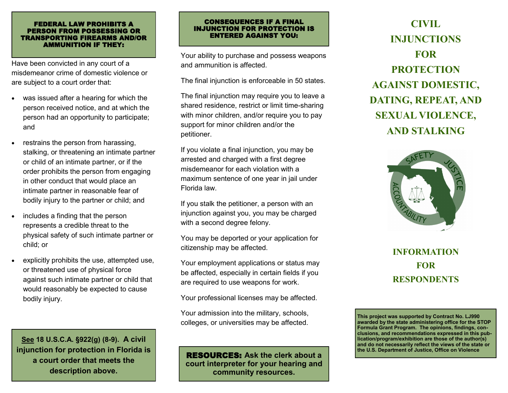#### FEDERAL LAW PROHIBITS A PERSON FROM POSSESSING OR TRANSPORTING FIREARMS AND/OR AMMUNITION IF THEY:

Have been convicted in any court of a misdemeanor crime of domestic violence or are subject to a court order that:

- was issued after a hearing for which the person received notice, and at which the person had an opportunity to participate; and
- restrains the person from harassing, stalking, or threatening an intimate partner or child of an intimate partner, or if the order prohibits the person from engaging in other conduct that would place an intimate partner in reasonable fear of bodily injury to the partner or child; and
- includes a finding that the person represents a credible threat to the physical safety of such intimate partner or child; or
- explicitly prohibits the use, attempted use, or threatened use of physical force against such intimate partner or child that would reasonably be expected to cause bodily injury.

**See 18 U.S.C.A. §922(g) (8-9). A civil injunction for protection in Florida is a court order that meets the description above.**

#### CONSEQUENCES IF A FINAL INJUNCTION FOR PROTECTION IS ENTERED AGAINST YOU:

Your ability to purchase and possess weapons and ammunition is affected.

The final injunction is enforceable in 50 states.

The final injunction may require you to leave a shared residence, restrict or limit time-sharing with minor children, and/or require you to pay support for minor children and/or the petitioner.

If you violate a final injunction, you may be arrested and charged with a first degree misdemeanor for each violation with a maximum sentence of one year in jail under Florida law.

If you stalk the petitioner, a person with an injunction against you, you may be charged with a second degree felony.

You may be deported or your application for citizenship may be affected.

Your employment applications or status may be affected, especially in certain fields if you are required to use weapons for work.

Your professional licenses may be affected.

Your admission into the military, schools, colleges, or universities may be affected.

RESOURCES: **Ask the clerk about a court interpreter for your hearing and community resources.**

# **CIVIL INJUNCTIONS FOR PROTECTION AGAINST DOMESTIC, DATING, REPEAT, AND SEXUAL VIOLENCE, AND STALKING**



## **INFORMATION FOR RESPONDENTS**

**This project was supported by Contract No. LJ990 awarded by the state administering office for the STOP Formula Grant Program. The opinions, findings, conclusions, and recommendations expressed in this publication/program/exhibition are those of the author(s) and do not necessarily reflect the views of the state or the U.S. Department of Justice, Office on Violence**